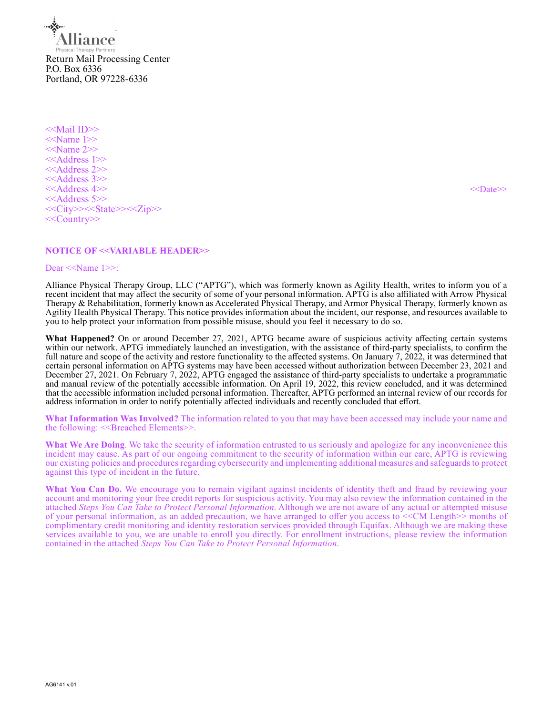**lance** Return Mail Processing Center P.O. Box 6336 Portland, OR 97228-6336

<<Mail ID>> <<Name 1>>  $<<$ Name 2>> <<Address 1>> <<Address 2>> <<Address 3>> <<Address 4>> <<>>><<>>>>>><<>><<>><<>
<< <<Address 5>> <<City>><<State>><<Zip>> <<Country>>

# **NOTICE OF <<VARIABLE HEADER>>**

#### Dear <<Name 1>>:

Alliance Physical Therapy Group, LLC ("APTG"), which was formerly known as Agility Health, writes to inform you of a recent incident that may affect the security of some of your personal information. APTG is also affiliated with Arrow Physical Therapy & Rehabilitation, formerly known as Accelerated Physical Therapy, and Armor Physical Therapy, formerly known as Agility Health Physical Therapy. This notice provides information about the incident, our response, and resources available to you to help protect your information from possible misuse, should you feel it necessary to do so.

**What Happened?** On or around December 27, 2021, APTG became aware of suspicious activity affecting certain systems within our network. APTG immediately launched an investigation, with the assistance of third-party specialists, to confirm the full nature and scope of the activity and restore functionality to the affected systems. On January  $7, 2022$ , it was determined that certain personal information on APTG systems may have been accessed without authorization between December 23, 2021 and December 27, 2021. On February 7, 2022, APTG engaged the assistance of third-party specialists to undertake a programmatic and manual review of the potentially accessible information. On April 19, 2022, this review concluded, and it was determined that the accessible information included personal information. Thereafter, APTG performed an internal review of our records for address information in order to notify potentially affected individuals and recently concluded that effort.

**What Information Was Involved?** The information related to you that may have been accessed may include your name and the following: <<Br eached Elements>>.

**What We Are Doing**. We take the security of information entrusted to us seriously and apologize for any inconvenience this incident may cause. As part of our ongoing commitment to the security of information within our care, APTG is reviewing our existing policies and procedures regarding cybersecurity and implementing additional measures and safeguards to protect against this type of incident in the future.

What You Can Do. We encourage you to remain vigilant against incidents of identity theft and fraud by reviewing your account and monitoring your free credit reports for suspicious activity. You may also review the information contained in the attached *Steps You Can Take to Protect Personal Information*. Although we are not aware of any actual or attempted misuse of your personal information, as an added precaution, we have arranged to offer you access to <<CM Length>> months of complimentary credit monitoring and identity restoration services provided through Equifax. Although we are making these services available to you, we are unable to enroll you directly. For enrollment instructions, please review the information contained in the attached *Steps You Can Take to Protect Personal Information*.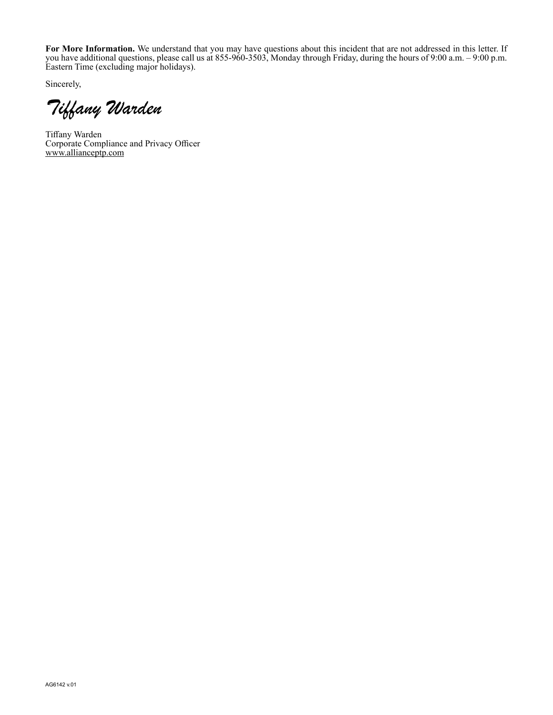**For More Information.** We understand that you may have questions about this incident that are not addressed in this letter. If you have additional questions, please call us at 855-960-3503, Monday through Friday, during the hours of 9:00 a.m. – 9:00 p.m. Eastern Time (excluding major holidays).

Sincerely,

Tiffany Warden

Tiffany Warden Corporate Compliance and Privacy Officer www.allianceptp.com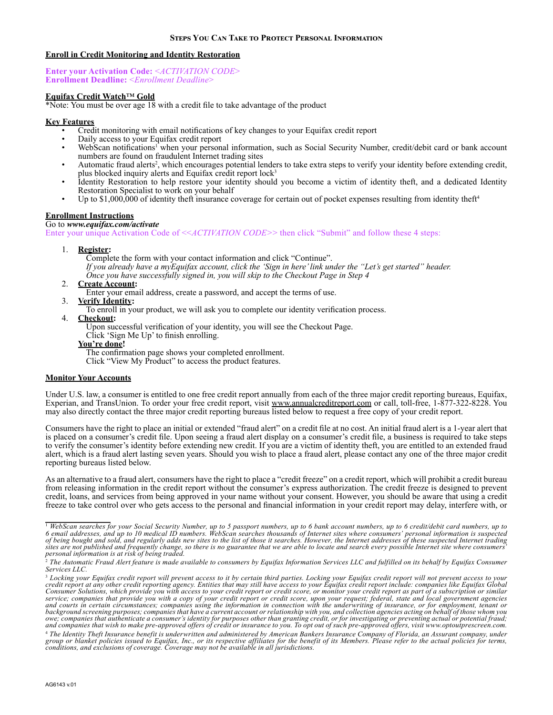## **Enroll in Credit Monitoring and Identity Restoration**

**Enter your Activation Code:** <*ACTIVATION CODE*> **Enrollment Deadline:** <*Enrollment Deadline*>

## **Equifax Credit Watch**™ **Gold**

 $*\overline{\text{Note:}}$  You must be over age 18 with a credit file to take advantage of the product

### **Key Features**

- Credit monitoring with email notifications of key changes to your Equifax credit report
- Daily access to your Equifax credit report<br>• WebScan notifications<sup>1</sup> when your person
- WebScan notifications<sup>1</sup> when your personal information, such as Social Security Number, credit/debit card or bank account
- numbers are found on fraudulent Internet trading sites<br>• Automatic fraud alerts<sup>2</sup>, which encourages potential lenders to take extra steps to verify your identity before extending credit, plus blocked inquiry alerts and Equifax credit report lock<sup>3</sup>
- Identity Restoration to help restore your identity should you become a victim of identity theft, and a dedicated Identity Restoration Specialist to work on your behalf
- Up to  $$1,000,000$  of identity theft insurance coverage for certain out of pocket expenses resulting from identity theft<sup>4</sup>

# **Enrollment Instructions**

Go to *www.equifax.com/activate* Enter your unique Activation Code of <<*ACTIVATION CODE>*> then click "Submit" and follow these 4 steps:

1. **Register:** 

Complete the form with your contact information and click "Continue".

- *If you already have a myEquifax account, click the 'Sign in here' link under the "Let's get started" header.*
- *Once you have successfully signed in, you will skip to the Checkout Page in Step 4*
- 2. **Create Account:**
	- Enter your email address, create a password, and accept the terms of use.
- 3. **Verify Identity:** 
	- To enroll in your product, we will ask you to complete our identity verification process.
- 4. **Checkout:**

Upon successful verification of your identity, you will see the Checkout Page.

Click 'Sign Me Up' to finish enrolling.

#### **You're done!**

The confirmation page shows your completed enrollment.

Click "View My Product" to access the product features.

### **Monitor Your Accounts**

Under U.S. law, a consumer is entitled to one free credit report annually from each of the three major credit reporting bureaus, Equifax, Experian, and TransUnion. To order your free credit report, visit www.annualcreditreport.com or call, toll-free, 1-877-322-8228. You may also directly contact the three major credit reporting bureaus listed below to request a free copy of your credit report.

Consumers have the right to place an initial or extended "fraud alert" on a credit file at no cost. An initial fraud alert is a 1-year alert that is placed on a consumer's credit file. Upon seeing a fraud alert display on a consumer's credit file, a business is required to take steps to verify the consumer's identity before extending new credit. If you are a victim of identity theft, you are entitled to an extended fraud alert, which is a fraud alert lasting seven years. Should you wish to place a fraud alert, please contact any one of the three major credit reporting bureaus listed below.

As an alternative to a fraud alert, consumers have the right to place a "credit freeze" on a credit report, which will prohibit a credit bureau from releasing information in the credit report without the consumer's express authorization. The credit freeze is designed to prevent credit, loans, and services from being approved in your name without your consent. However, you should be aware that using a credit freeze to take control over who gets access to the personal and financial information in your credit report may delay, interfere with, or

<sup>&</sup>lt;sup>1</sup> WebScan searches for your Social Security Number, up to 5 passport numbers, up to 6 bank account numbers, up to<br>6 email addresses, and up to 10 medical ID numbers. WebScan searches thousands of Internet sites where con *sites are not published and frequently change, so there is no guarantee that we are able to locate and search every possible Internet site where consumers' personal information is at risk of being traded.*

<sup>&</sup>lt;sup>2</sup> The Automatic Fraud Alert feature is made available to consumers by Equifax Information Services LLC and fulfilled on its behalf by Equifax Consumer *Services LLC.* 

<sup>&</sup>lt;sup>3</sup> Locking your Equifax credit report will prevent access to it by certain third parties. Locking your Equifax credit report will not prevent access to your<br>Credit report at any other credit reporting agency. Entities tha *and courts in certain circumstances; companies using the information in connection with the underwriting of insurance, or for employment, tenant or background screening purposes; companies that have a current account or relationship with you, and collection agencies acting on behalf of those whom you*  owe, companies that authenticate a consumer's identity for purposes other than granting credit, or for investigating or preventing actual or potential fraud;<br>and companies that wish to make pre-approved offers of credit or

<sup>4</sup> *The Identity Theft Insurance benefit is underwritten and administered by American Bankers Insurance Company of Florida, an Assurant company, under*  group or blanket policies issued to Equifax, Inc., or its respective affiliates for the benefit of its Members. Please refer to the actual policies for terms,<br>conditions, and exclusions of coverage. Coverage may not be ava